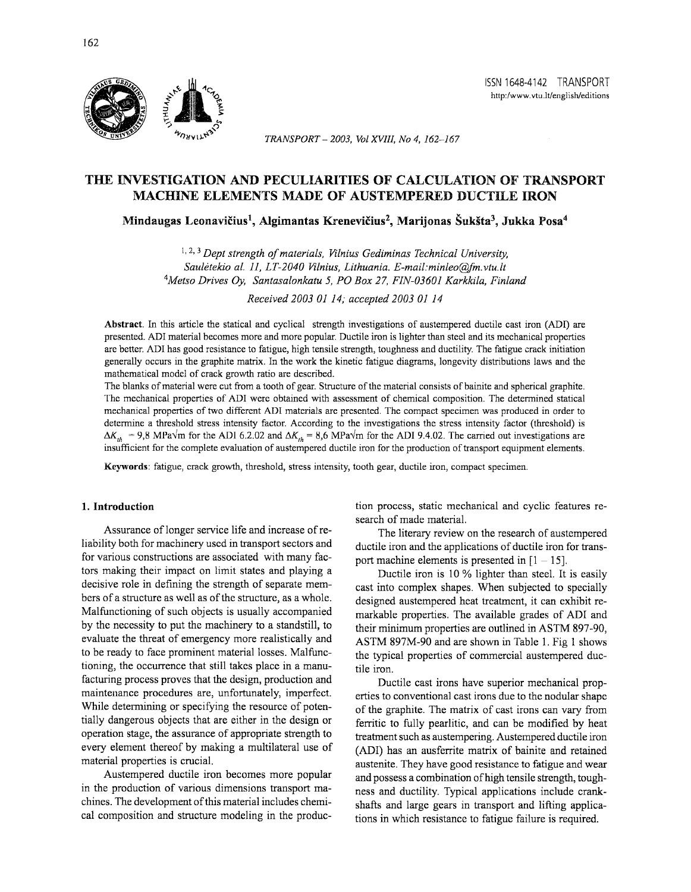*TRANSPORT- 2003, Vol XVIII, No 4, 162-167* 

# THE INVESTIGATION AND PECULIARITIES OF CALCULATION OF TRANSPORT MACHINE ELEMENTS MADE OF AUSTEMPERED DUCTILE IRON

Mindaugas Leonavičius<sup>1</sup>, Algimantas Krenevičius<sup>2</sup>, Marijonas Šukšta<sup>3</sup>, Jukka Posa<sup>4</sup>

<sup>1, 2, 3</sup> Dept strength of materials, Vilnius Gediminas Technical University, *Sauletekio al. 11, LT-2040 Vilnius, Lithuania. E-mail:minleo@fm.vtu.lt 4 Metso Drives Oy, Santasalonkatu 5, PO Box 27, FIN-0360J Karkkila, Finland* 

*Received 2003 OJ J4; accepted 2003 OJ J4* 

Abstract. In this article the statical and cyclical strength investigations of austempered ductile cast iron (ADI) are presented. ADI material becomes more and more popular. Ductile iron is lighter than steel and its mechanical properties are better. ADI has good resistance to fatigue, high tensile strength, toughness and ductility. The fatigue crack initiation generally occurs in the graphite matrix. In the work the kinetic fatigue diagrams, longevity distributions laws and the mathematical model of crack growth ratio are described.

The blanks of material were cut from a tooth of gear. Structure of the material consists of bainite and spherical graphite. The mechanical properties of ADI were obtained with assessment of chemical composition. The detennined statical mechanical properties of two different ADI materials are presented. The compact specimen was produced in order to detennine a threshold stress intensity factor. According to the investigations the stress intensity factor (threshold) is  $\Delta K_{th} = 9.8$  MPa $\sqrt{m}$  for the ADI 6.2.02 and  $\Delta K_{th} = 8.6$  MPa $\sqrt{m}$  for the ADI 9.4.02. The carried out investigations are insufficient for the complete evaluation of austempered ductile iron for the production of transport equipment elements.

Keywords: fatigue, crack growth, threshold, stress intensity, tooth gear, ductile iron, compact specimen.

# 1. Introduction

Assurance of longer service life and increase of reliability both for machinery used in transport sectors and for various constructions are associated with many factors making their impact on limit states and playing a decisive role in defming the strength of separate members of a stmcture as well as of the structure, as a whole. Malfunctioning of such objects is usually accompanied by the necessity to put the machinery to a standstill, to evaluate the threat of emergency more realistically and to be ready to face prominent material losses. Malfunctioning, the occurrence that still takes place in a manufacturing process proves that the design, production and maintenance procedures are, unfortunately, imperfect. While determining or specifying the resource of potentially dangerous objects that are either in the design or operation stage, the assurance of appropriate strength to every element thereof by making a multilateral use of material properties is cmcial.

Austempered ductile iron becomes more popular in the production of various dimensions transport machines. The development of this material includes chemical composition and structure modeling in the production process, static mechanical and cyclic features research of made material.

The literary review on the research of austempered ductile iron and the applications of ductile iron for transport machine elements is presented in  $[1 - 15]$ .

Ductile iron is 10 % lighter than steel. It is easily cast into complex shapes. When subjected to specially designed austempered heat treatment, it can exhibit remarkable properties. The available grades of ADI and their minimum properties are outlined in ASTM 897-90, ASTM 897M-90 and are shown in Table 1. Fig 1 shows the typical properties of commercial austempered ductile iron.

Ductile cast irons have superior mechanical properties to conventional cast irons due to the nodular shape of the graphite. The matrix of cast irons can vary from ferritic to fully pearlitic, and can be modified by heat treatment such as austempering. Austempered ductile iron (ADI) has an ausferrite matrix of bainite and retained austenite. They have good resistance to fatigue and wear and possess a combination of high tensile strength, toughness and ductility. Typical applications include crankshafts and large gears in transport and lifting applications in which resistance to fatigue failure is required.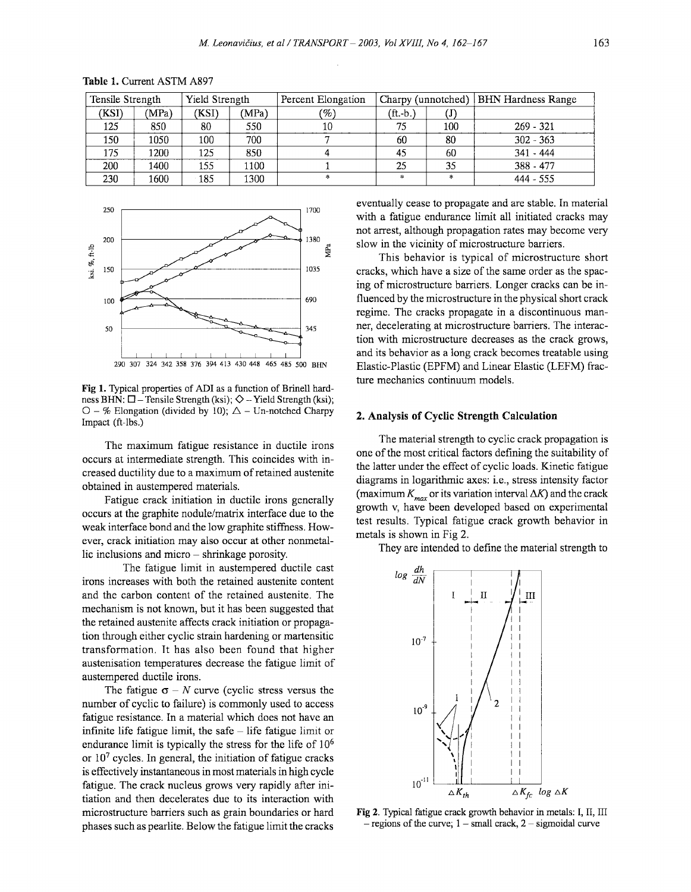| Tensile Strength |       | Yield Strength |       | Percent Elongation | Charpy (unnotched) |               | <b>BHN</b> Hardness Range |  |
|------------------|-------|----------------|-------|--------------------|--------------------|---------------|---------------------------|--|
| (KSI)            | (MPa) | (KSI)          | (MPa) | $\mathscr{C}_o$    | $(ft - bt)$        | (J)           |                           |  |
| 125              | 850   | 80             | 550   | 10                 | 75                 | 100           | $269 - 321$               |  |
| 150              | 1050  | 100            | 700   |                    | 60                 | 80            | $302 - 363$               |  |
| 175              | 1200  | 125            | 850   |                    | 45                 | 60            | $341 - 444$               |  |
| 200              | 1400  | 155            | 1100  |                    | 25                 | 35            | 388 - 477                 |  |
| 230              | 1600  | 185            | 1300  | $\pm$              | $\mathcal{L}$      | $\mathcal{H}$ | $444 - 555$               |  |

Table 1. Current ASTM A897



Fig 1. Typical properties of ADI as a function of Brinell hardness BHN:  $\square$  - Tensile Strength (ksi);  $\diamond$  - Yield Strength (ksi);  $O - \%$  Elongation (divided by 10);  $\triangle$  - Un-notched Charpy Impact (ft-lbs.)

The maximum fatigue resistance in ductile irons occurs at intermediate strength. This coincides with increased ductility due to a maximum of retained austenite obtained in austempered materials.

Fatigue crack initiation in ductile irons generally occurs at the graphite nodule/matrix interface due to the weak interface bond and the low graphite stiffness. However, crack initiation may also occur at other nonmetallic inclusions and micro – shrinkage porosity.

The fatigue limit in austempered ductile cast irons increases with both the retained austenite content and the carbon content of the retained austenite. The mechanism is not known, but it has been suggested that the retained austenite affects crack initiation or propagation through either cyclic strain hardening or martensitic transformation. It has also been found that higher austenisation temperatures decrease the fatigue limit of austempered ductile irons.

The fatigue  $\sigma$  – N curve (cyclic stress versus the number of cyclic to failure) is commonly used to access fatigue resistance. In a material which does not have an infinite life fatigue limit, the safe  $-$  life fatigue limit or endurance limit is typically the stress for the life of  $10^6$ or 107 cycles. In general, the initiation of fatigue cracks is effectively instantaneous in most materials in high cycle fatigue. The crack nucleus grows very rapidly after initiation and then decelerates due to its interaction with microstructure barriers such as grain boundaries or hard phases such as pearlite. Below the fatigue limit the cracks

eventually cease to propagate and are stable. In material with a fatigue endurance limit all initiated cracks may not arrest, although propagation rates may become very slow in the vicinity of microstructure barriers.

This behavior is typical of microstructure short cracks, which have a size of the same order as the spacing of microstructure barriers. Longer cracks can be influenced by the microstructure in the physical short crack regime. The cracks propagate in a discontinuous manner, decelerating at microstructure barriers. The interaction with microstructure decreases as the crack grows, and its behavior as a long crack becomes treatable using Elastic-Plastic (EPFM) and Linear Elastic (LEFM) fracture mechanics continuum models.

#### 2. Analysis of Cyclic Strength Calculation

The material strength to cyclic crack propagation is one of the most critical factors defining the suitability of the latter under the effect of cyclic loads. Kinetic fatigue diagrams in logarithmic axes: i.e., stress intensity factor (maximum  $K_{max}$  or its variation interval  $\Delta K$ ) and the crack growth v, have been developed based on experimental test results. Typical fatigue crack growth behavior in metals is shown in Fig 2.

They are intended to define the material strength to



Fig 2. Typical fatigue crack growth behavior in metals: I, II, III  $-$  regions of the curve;  $1 - \text{small crack}, 2 - \text{sigmoidal curve}$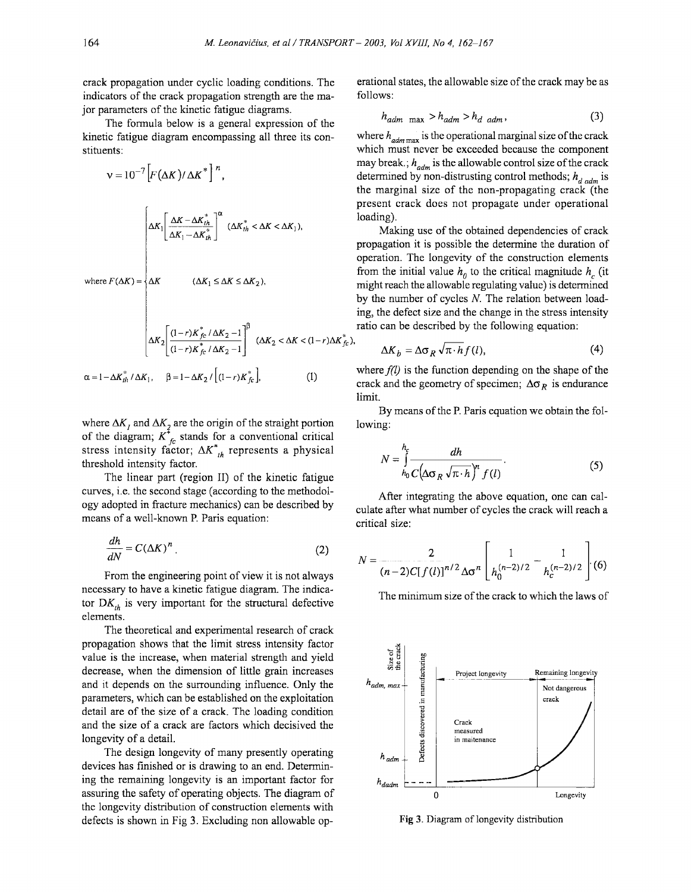),

crack propagation under cyclic loading conditions. The indicators of the crack propagation strength are the major parameters of the kinetic fatigue diagrams.

The formula below is a general expression of the kinetic fatigue diagram encompassing all three its constituents:

$$
V = 10^{-7} \left[ F(\Delta K) / \Delta K^* \right]^n,
$$
  

$$
\Delta K_1 \left[ \frac{\Delta K - \Delta K_{th}^*}{\Delta K_1 - \Delta K_{th}^*} \right]^\alpha (\Delta K_h^* < \Delta K < \Delta K_1),
$$
  
where  $F(\Delta K) = \begin{cases} \Delta K & (\Delta K_1 \le \Delta K \le \Delta K_2), \\ \Delta K & (\Delta K_1 \le \Delta K \le \Delta K_2), \end{cases}$   

$$
\Delta K_2 \left[ \frac{(1-r)K_{fc}^* / \Delta K_2 - 1}{(1-r)K_{fc}^* / \Delta K_2 - 1} \right]^\beta (\Delta K_2 < \Delta K < (1-r)\Delta K_{fc}^*)
$$
  

$$
\alpha = 1 - \Delta K_{th}^* / \Delta K_1, \quad \beta = 1 - \Delta K_2 / [(1-r)K_{fc}^*], \tag{1}
$$

where  $\Delta K_i$  and  $\Delta K_2$  are the origin of the straight portion of the diagram;  $K_{c}^{*}$  stands for a conventional critical stress intensity factor;  $\Delta K_{th}^*$  represents a physical threshold intensity factor.

The linear part (region II) of the kinetic fatigue curves, i.e. the second stage (according to the methodology adopted in fracture mechanics) can be described by means of a well-known P. Paris equation:

$$
\frac{dh}{dN} = C(\Delta K)^n \tag{2}
$$

From the engineering point of view it is not always necessary to have a kinetic fatigue diagram. The indicator  $DK_{th}$  is very important for the structural defective elements.

The theoretical and experimental research of crack propagation shows that the limit stress intensity factor value is the increase, when material strength and yield decrease, when the dimension of little grain increases and it depends on the surrounding influence. Only the parameters, which can be established on the exploitation detail are of the size of a crack. The loading condition and the size of a crack are factors which decisived the longevity of a detail.

The design longevity of many presently operating devices has finished or is drawing to an end. Determining the remaining longevity is an important factor for assuring the safety of operating objects. The diagram of the longevity distribution of construction elements with defects is shown in Fig 3. Excluding non allowable operational states, the allowable size of the crack may be as follows:

$$
h_{\text{adm} \ \text{max}} > h_{\text{adm}} > h_{\text{d} \ \text{adm}}, \tag{3}
$$

where  $h_{\text{adm max}}$  is the operational marginal size of the crack which must never be exceeded because the component may break.;  $h_{\text{adm}}$  is the allowable control size of the crack determined by non-distrusting control methods;  $h_{d, qdm}$  is the marginal size of the non-propagating crack (the present crack does not propagate under operational loading).

Making use of the obtained dependencies of crack propagation it is possible the determine the duration of operation. The longevity of the construction elements from the initial value  $h_0$  to the critical magnitude  $h_c$  (it might reach the allowable regulating value) is determined by the number of cycles *N.* The relation between loading, the defect size and the change in the stress intensity ratio can be described by the following equation:

$$
\Delta K_b = \Delta \sigma_R \sqrt{\pi \cdot h} f(l), \tag{4}
$$

where  $f(l)$  is the function depending on the shape of the crack and the geometry of specimen;  $\Delta \sigma_R$  is endurance limit.

By means of the P. Paris equation we obtain the following:

$$
N = \int_{h_0}^{h_c} \frac{dh}{C\left(\Delta \sigma_R \sqrt{\pi \cdot h}\right)^n f(l)}.
$$
 (5)

After integrating the above equation, one can calculate after what number of cycles the crack will reach a critical size:

$$
N = \frac{2}{(n-2)C[f(l)]^{n/2}\Delta\sigma^n} \left[\frac{1}{h_0^{(n-2)/2}} - \frac{1}{h_c^{(n-2)/2}}\right] (6)
$$

The minimum size of the crack to which the laws of



Fig 3. Diagram of longevity distribution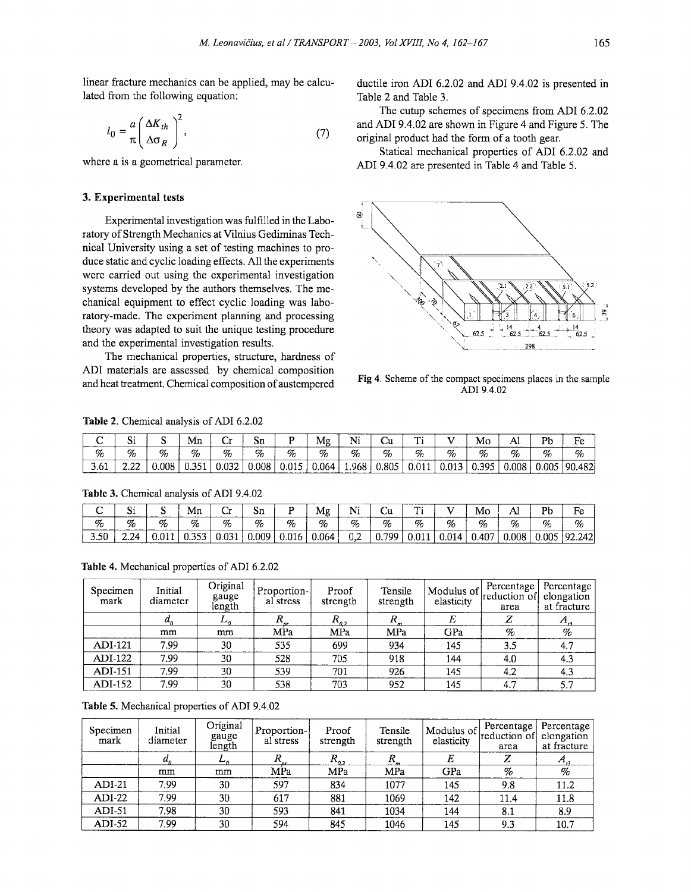linear fracture mechanics can be applied, may be calculated from the following equation:

$$
l_0 = \frac{a}{\pi} \left( \frac{\Delta K_{th}}{\Delta \sigma_R} \right)^2, \tag{7}
$$

where a is a geometrical parameter.

## 3. Experimental tests

Experimental investigation was fulfilled in the Laboratory of Strength Mechanics at Vilnius Gediminas Technical University using a set of testing machines to produce static and cyclic loading effects. All the experiments were carried out using the experimental investigation systems developed by the authors themselves. The mechanical equipment to effect cyclic loading was laboratory-made. The experiment planning and processing theory was adapted to suit the unique testing procedure and the experimental investigation results.

The mechanical properties, structure, hardness of ADI materials are assessed by chemical composition and heat treatment. Chemical composition of austempered

ductile iron ADI 6.2.02 and ADI 9.4.02 is presented in Table 2 and Table 3.

The cutup schemes of specimens from ADI 6.2.02 and ADI 9.4.02 are shown in Figure 4 and Figure 5. The original product had the form of a tooth gear.

Statical mechanical properties of ADI 6.2.02 and ADI 9.4.02 are presented in Table 4 and Table 5.



Fig 4. Scheme of the compact specimens places in the sample ADI 9.4.02

| ______<br>_____ | - -<br>້ |       | Mn | ້   | UШ   | ------                    | M₫      | -------<br>.<br>n.<br>------ | ັ     | <b>CONTRACTOR</b><br>. . |   | Mo          |       | D1.<br>_____                                                                                                            | нс<br>________ |
|-----------------|----------|-------|----|-----|------|---------------------------|---------|------------------------------|-------|--------------------------|---|-------------|-------|-------------------------------------------------------------------------------------------------------------------------|----------------|
| %               | %        | %     | %  | %   | %    | %<br>-------------------- | %       | %                            | %     | %                        | % | %<br>------ | Ūс    | %                                                                                                                       | %              |
| <b>J.OI</b>     | L.LL     | 008.0 |    | กจว | .008 | $\sim$                    | J.064 ' | 968                          | 0.805 | n1                       |   | 305         | 0.008 | .005<br>the contract of the contract of the contract of the contract of the contract of the contract of the contract of | .482<br>ററ     |

Table 2. Chemical analysis of ADI 6.2.02

Table 3. Chemical analysis of ADI 9.4.02

| ີ           | --<br>w   | ∼ | Мn         | ີ               | Sп    |       | ----<br>Mg | N.<br>*** | υū         | --<br>. . |     | Mo   |       | Рh<br>ັບ | Fe                      |
|-------------|-----------|---|------------|-----------------|-------|-------|------------|-----------|------------|-----------|-----|------|-------|----------|-------------------------|
| K           | %         | % | %          | %               | %     | %     | %          | %         | Ūс         | %         | %   | %    | %     | %        | %                       |
| r n<br>3.50 | 24<br>L.L | н | . <i>.</i> | $\sim$<br>ັບເບມ | 0.009 | 0.016 | 0.064      | 0.2       | 700.<br>U. |           | 014 | .407 | 0.008 | 0.005    | 242.<br>۵C ا<br>12.2421 |

Table 4. Mechanical properties of ADI 6.2.02

| Specimen<br>mark | Initial<br>diameter | Original<br>gauge<br>length | Proportion-<br>al stress | Proof<br>strength | Tensile<br>strength | Modulus of<br>elasticity | Percentage<br>reduction of<br>area | Percentage  <br>elongation<br>at fracture |
|------------------|---------------------|-----------------------------|--------------------------|-------------------|---------------------|--------------------------|------------------------------------|-------------------------------------------|
|                  | $a_{n}$             | ⊷                           |                          | $R_{a2}$          |                     |                          | Z                                  |                                           |
|                  | mm                  | mm                          | MPa                      | MPa               | MPa                 | GPa                      | %                                  | %                                         |
| <b>ADI-121</b>   | 7.99                | 30                          | 535                      | 699               | 934                 | 145                      | 3.5                                | 4.7                                       |
| ADI-122          | 7.99                | 30                          | 528                      | 705               | 918                 | 144                      | 4.0                                | 4.3                                       |
| <b>ADI-151</b>   | 7.99                | 30                          | 539                      | 701               | 926                 | 145                      | 4.2                                | 4.3                                       |
| ADI-152          | 7.99                | 30                          | 538                      | 703               | 952                 | 145                      | 4.7                                | 5.7                                       |

Table 5. Mechanical properties of ADI 9.4.02

| Specimen<br>mark | Initial<br>diameter        | Original<br>gauge<br>length | Proportion-<br>al stress | Proof<br>strength | Tensile<br>strength | Modulus of<br>elasticity | Percentage<br>reduction of<br>area | Percentage  <br>elongation<br>at fracture |
|------------------|----------------------------|-----------------------------|--------------------------|-------------------|---------------------|--------------------------|------------------------------------|-------------------------------------------|
|                  | $a_{\scriptscriptstyle n}$ | $L_{\rho}$                  |                          | $R_{q2}$          |                     | E                        | Z                                  | $A_{\eta}$                                |
|                  | mm                         | mm                          | MPa                      | MPa               | MPa                 | GPa                      | %                                  | %                                         |
| $ADI-21$         | 7.99                       | 30                          | 597                      | 834               | 1077                | 145                      | 9.8                                | 11.2                                      |
| $ADI-22$         | 7.99                       | 30                          | 617                      | 881               | 1069                | 142                      | 11.4                               | 11.8                                      |
| $ADI-51$         | 7.98                       | 30                          | 593                      | 841               | 1034                | 144                      | 8.1                                | 8.9                                       |
| $ADI-52$         | 7.99                       | 30                          | 594                      | 845               | 1046                | 145                      | 9.3                                | 10.7                                      |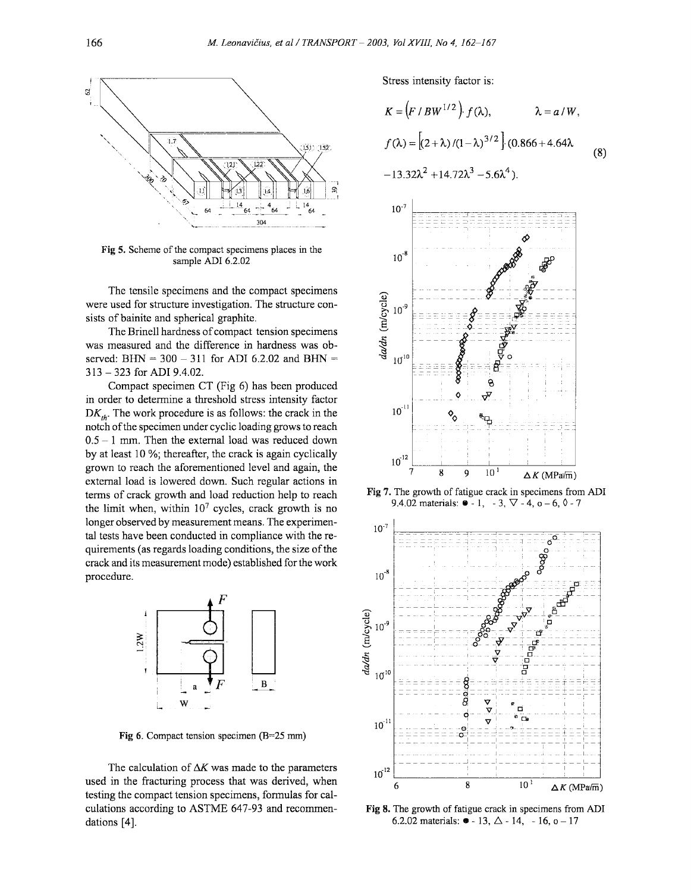

Fig 5. Scheme of the compact specimens places in the sample ADI 6.2.02

The tensile specimens and the compact specimens were used for structure investigation. The structure consists of bainite and spherical graphite.

The Brinell hardness of compact tension specimens was measured and the difference in hardness was observed: BHN =  $300 - 311$  for ADI 6.2.02 and BHN = 313-323 for ADI 9.4.02.

Compact specimen CT (Fig 6) has been produced in order to determine a threshold stress intensity factor  $DK_{th}$ . The work procedure is as follows: the crack in the notch of the specimen under cyclic loading grows to reach  $0.5 - 1$  mm. Then the external load was reduced down by at least 10 %; thereafter, the crack is again cyclically grown to reach the aforementioned level and again, the external load is lowered down. Such regular actions in terms of crack growth and load reduction help to reach the limit when, within  $10<sup>7</sup>$  cycles, crack growth is no longer observed by measurement means. The experimental tests have been conducted in compliance with the requirements (as regards loading conditions, the size of the crack and its measurement mode) established for the work procedure.



Fig 6. Compact tension specimen (B=25 mm)

The calculation of  $\Delta K$  was made to the parameters used in the fracturing process that was derived, when testing the compact tension specimens, formulas for calculations according to ASTME 647-93 and recommendations [4].

Stress intensity factor is:

$$
K = (F/BW^{1/2}) f(\lambda), \qquad \lambda = a/W,
$$
  

$$
f(\lambda) = [(2+\lambda)/(1-\lambda)^{3/2}] (0.866 + 4.64\lambda
$$
  

$$
-13.32\lambda^2 + 14.72\lambda^3 - 5.6\lambda^4).
$$
 (8)



Fig 7. The growth of fatigue crack in specimens from ADI 9.4.02 materials:  $\bullet$  - 1, - 3,  $\nabla$  - 4, o - 6,  $\lozenge$  - 7



Fig 8. The growth of fatigue crack in specimens from ADI 6.2.02 materials:  $\bullet$  - 13,  $\triangle$  - 14, - 16, o - 17